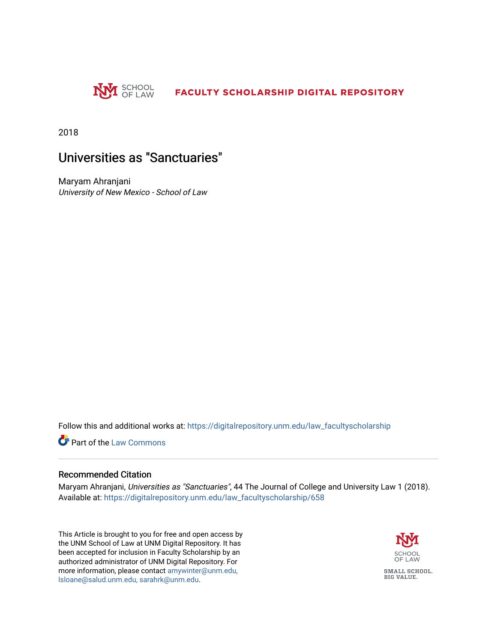

2018

# Universities as "Sanctuaries"

Maryam Ahranjani University of New Mexico - School of Law

Follow this and additional works at: [https://digitalrepository.unm.edu/law\\_facultyscholarship](https://digitalrepository.unm.edu/law_facultyscholarship?utm_source=digitalrepository.unm.edu%2Flaw_facultyscholarship%2F658&utm_medium=PDF&utm_campaign=PDFCoverPages) 

**C** Part of the [Law Commons](http://network.bepress.com/hgg/discipline/578?utm_source=digitalrepository.unm.edu%2Flaw_facultyscholarship%2F658&utm_medium=PDF&utm_campaign=PDFCoverPages)

#### Recommended Citation

Maryam Ahranjani, Universities as "Sanctuaries", 44 The Journal of College and University Law 1 (2018). Available at: [https://digitalrepository.unm.edu/law\\_facultyscholarship/658](https://digitalrepository.unm.edu/law_facultyscholarship/658?utm_source=digitalrepository.unm.edu%2Flaw_facultyscholarship%2F658&utm_medium=PDF&utm_campaign=PDFCoverPages) 

This Article is brought to you for free and open access by the UNM School of Law at UNM Digital Repository. It has been accepted for inclusion in Faculty Scholarship by an authorized administrator of UNM Digital Repository. For more information, please contact [amywinter@unm.edu,](mailto:amywinter@unm.edu,%20lsloane@salud.unm.edu,%20sarahrk@unm.edu)  [lsloane@salud.unm.edu, sarahrk@unm.edu.](mailto:amywinter@unm.edu,%20lsloane@salud.unm.edu,%20sarahrk@unm.edu)

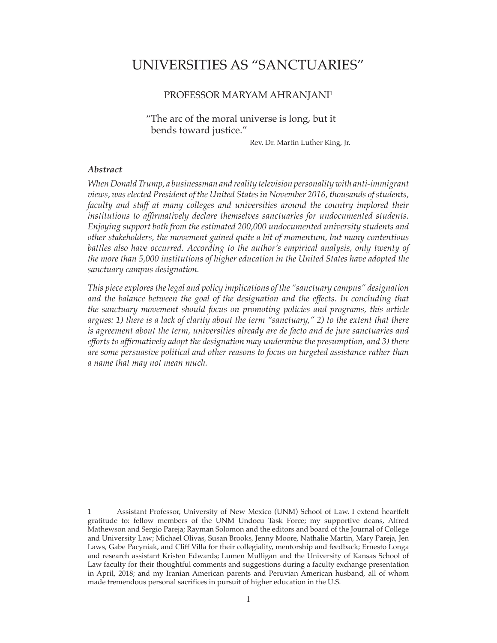# UNIVERSITIES AS "SANCTUARIES"

## PROFESSOR MARYAM AHRANJANI1

"The arc of the moral universe is long, but it bends toward justice."

Rev. Dr. Martin Luther King, Jr.

#### *Abstract*

*When Donald Trump, a businessman and reality television personality with anti-immigrant views, was elected President of the United States in November 2016, thousands of students, faculty and staff at many colleges and universities around the country implored their institutions to affirmatively declare themselves sanctuaries for undocumented students. Enjoying support both from the estimated 200,000 undocumented university students and other stakeholders, the movement gained quite a bit of momentum, but many contentious*  battles also have occurred. According to the author's empirical analysis, only twenty of *the more than 5,000 institutions of higher education in the United States have adopted the sanctuary campus designation.* 

*This piece explores the legal and policy implications of the "sanctuary campus" designation*  and the balance between the goal of the designation and the effects. In concluding that *the sanctuary movement should focus on promoting policies and programs, this article argues: 1) there is a lack of clarity about the term "sanctuary," 2) to the extent that there is agreement about the term, universities already are de facto and de jure sanctuaries and efforts to affirmatively adopt the designation may undermine the presumption, and 3) there are some persuasive political and other reasons to focus on targeted assistance rather than a name that may not mean much.* 

<sup>1</sup> Assistant Professor, University of New Mexico (UNM) School of Law. I extend heartfelt gratitude to: fellow members of the UNM Undocu Task Force; my supportive deans, Alfred Mathewson and Sergio Pareja; Rayman Solomon and the editors and board of the Journal of College and University Law; Michael Olivas, Susan Brooks, Jenny Moore, Nathalie Martin, Mary Pareja, Jen Laws, Gabe Pacyniak, and Cliff Villa for their collegiality, mentorship and feedback; Ernesto Longa and research assistant Kristen Edwards; Lumen Mulligan and the University of Kansas School of Law faculty for their thoughtful comments and suggestions during a faculty exchange presentation in April, 2018; and my Iranian American parents and Peruvian American husband, all of whom made tremendous personal sacrifices in pursuit of higher education in the U.S.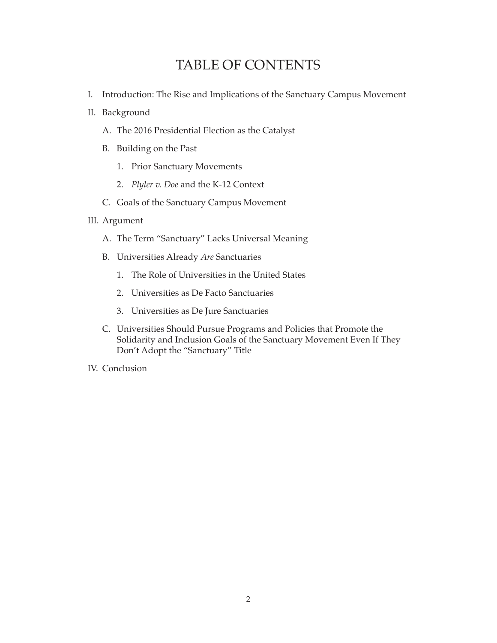# TABLE OF CONTENTS

- I. Introduction: The Rise and Implications of the Sanctuary Campus Movement
- II. Background
	- A. The 2016 Presidential Election as the Catalyst
	- B. Building on the Past
		- 1. Prior Sanctuary Movements
		- 2. *Plyler v. Doe* and the K-12 Context
	- C. Goals of the Sanctuary Campus Movement

# III. Argument

- A. The Term "Sanctuary" Lacks Universal Meaning
- B. Universities Already *Are* Sanctuaries
	- 1. The Role of Universities in the United States
	- 2. Universities as De Facto Sanctuaries
	- 3. Universities as De Jure Sanctuaries
- C. Universities Should Pursue Programs and Policies that Promote the Solidarity and Inclusion Goals of the Sanctuary Movement Even If They Don't Adopt the "Sanctuary" Title
- IV. Conclusion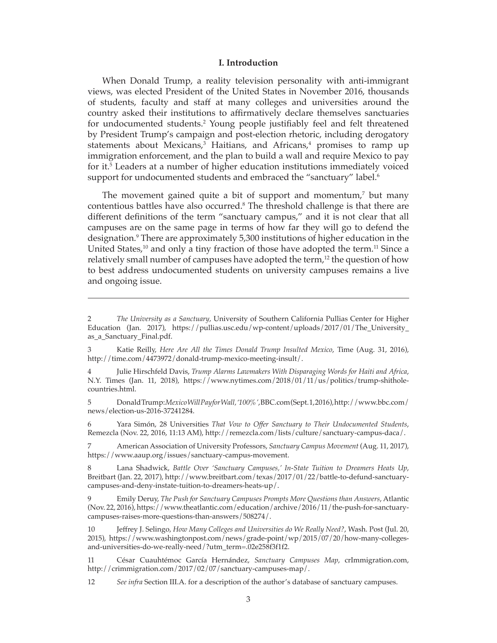#### **I. Introduction**

When Donald Trump, a reality television personality with anti-immigrant views, was elected President of the United States in November 2016, thousands of students, faculty and staff at many colleges and universities around the country asked their institutions to affirmatively declare themselves sanctuaries for undocumented students.2 Young people justifiably feel and felt threatened by President Trump's campaign and post-election rhetoric, including derogatory statements about Mexicans,<sup>3</sup> Haitians, and Africans,<sup>4</sup> promises to ramp up immigration enforcement, and the plan to build a wall and require Mexico to pay for it.<sup>5</sup> Leaders at a number of higher education institutions immediately voiced support for undocumented students and embraced the "sanctuary" label.<sup>6</sup>

The movement gained quite a bit of support and momentum,<sup>7</sup> but many contentious battles have also occurred.<sup>8</sup> The threshold challenge is that there are different definitions of the term "sanctuary campus," and it is not clear that all campuses are on the same page in terms of how far they will go to defend the designation.9 There are approximately 5,300 institutions of higher education in the United States,<sup>10</sup> and only a tiny fraction of those have adopted the term.<sup>11</sup> Since a relatively small number of campuses have adopted the term,<sup>12</sup> the question of how to best address undocumented students on university campuses remains a live and ongoing issue.

5 Donald Trump: *Mexico Will Pay for Wall, '100%'*, BBC.com (Sept. 1, 2016), http://www.bbc.com/ news/election-us-2016-37241284.

6 Yara Simón, 28 Universities *That Vow to Offer Sanctuary to Their Undocumented Students*, Remezcla (Nov. 22, 2016, 11:13 AM), http://remezcla.com/lists/culture/sanctuary-campus-daca/.

7 American Association of University Professors, *Sanctuary Campus Movement* (Aug. 11, 2017), https://www.aaup.org/issues/sanctuary-campus-movement.

8 Lana Shadwick, *Battle Over 'Sanctuary Campuses,' In-State Tuition to Dreamers Heats Up*, Breitbart (Jan. 22, 2017), http://www.breitbart.com/texas/2017/01/22/battle-to-defund-sanctuarycampuses-and-deny-instate-tuition-to-dreamers-heats-up/.

9 Emily Deruy, *The Push for Sanctuary Campuses Prompts More Questions than Answers*, Atlantic (Nov. 22, 2016), https://www.theatlantic.com/education/archive/2016/11/the-push-for-sanctuarycampuses-raises-more-questions-than-answers/508274/.

10 Jeffrey J. Selingo, *How Many Colleges and Universities do We Really Need?*, Wash. Post (Jul. 20, 2015), https://www.washingtonpost.com/news/grade-point/wp/2015/07/20/how-many-collegesand-universities-do-we-really-need/?utm\_term=.02e258f3f1f2.

11 César Cuauhtémoc García Hernández, *Sanctuary Campuses Map*, crImmigration.com, http://crimmigration.com/2017/02/07/sanctuary-campuses-map/.

12 *See infra* Section III.A. for a description of the author's database of sanctuary campuses.

<sup>2</sup> *The University as a Sanctuary*, University of Southern California Pullias Center for Higher Education (Jan. 2017), https://pullias.usc.edu/wp-content/uploads/2017/01/The\_University\_ as a Sanctuary Final.pdf.

<sup>3</sup> Katie Reilly, *Here Are All the Times Donald Trump Insulted Mexico*, Time (Aug. 31, 2016), http://time.com/4473972/donald-trump-mexico-meeting-insult/.

<sup>4</sup> Julie Hirschfeld Davis, *Trump Alarms Lawmakers With Disparaging Words for Haiti and Africa*, N.Y. Times (Jan. 11, 2018), https://www.nytimes.com/2018/01/11/us/politics/trump-shitholecountries.html.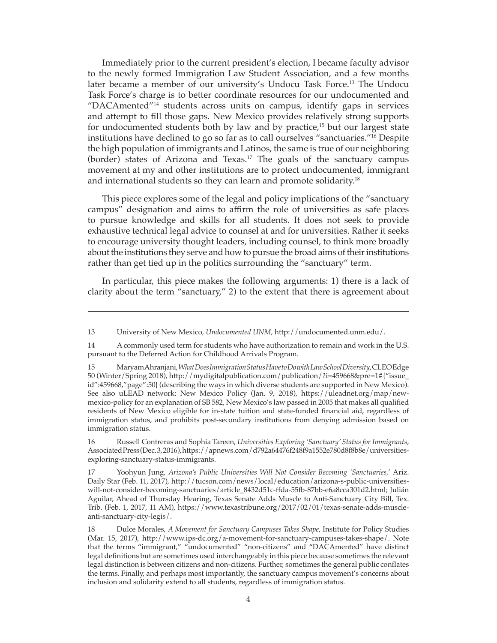Immediately prior to the current president's election, I became faculty advisor to the newly formed Immigration Law Student Association, and a few months later became a member of our university's Undocu Task Force.<sup>13</sup> The Undocu Task Force's charge is to better coordinate resources for our undocumented and "DACAmented"14 students across units on campus, identify gaps in services and attempt to fill those gaps. New Mexico provides relatively strong supports for undocumented students both by law and by practice,<sup>15</sup> but our largest state institutions have declined to go so far as to call ourselves "sanctuaries."16 Despite the high population of immigrants and Latinos, the same is true of our neighboring (border) states of Arizona and Texas.17 The goals of the sanctuary campus movement at my and other institutions are to protect undocumented, immigrant and international students so they can learn and promote solidarity.18

This piece explores some of the legal and policy implications of the "sanctuary campus" designation and aims to affirm the role of universities as safe places to pursue knowledge and skills for all students. It does not seek to provide exhaustive technical legal advice to counsel at and for universities. Rather it seeks to encourage university thought leaders, including counsel, to think more broadly about the institutions they serve and how to pursue the broad aims of their institutions rather than get tied up in the politics surrounding the "sanctuary" term.

In particular, this piece makes the following arguments: 1) there is a lack of clarity about the term "sanctuary," 2) to the extent that there is agreement about

16 Russell Contreras and Sophia Tareen, *Universities Exploring 'Sanctuary' Status for Immigrants*, Associated Press (Dec. 3, 2016), https://apnews.com/d792a64476f248f9a1552e780d8f8b8e/universitiesexploring-sanctuary-status-immigrants.

17 Yoohyun Jung, *Arizona's Public Universities Will Not Consider Becoming 'Sanctuaries*,' Ariz. Daily Star (Feb. 11, 2017), http://tucson.com/news/local/education/arizona-s-public-universitieswill-not-consider-becoming-sanctuaries/article\_8432d51c-ffda-55fb-87bb-e6a8cca301d2.html; Julián Aguilar, Ahead of Thursday Hearing, Texas Senate Adds Muscle to Anti-Sanctuary City Bill, Tex. Trib. (Feb. 1, 2017, 11 AM), https://www.texastribune.org/2017/02/01/texas-senate-adds-muscleanti-sanctuary-city-legis/.

<sup>13</sup> University of New Mexico, *Undocumented UNM*, http://undocumented.unm.edu/.

<sup>14</sup> A commonly used term for students who have authorization to remain and work in the U.S. pursuant to the Deferred Action for Childhood Arrivals Program.

<sup>15</sup> Maryam Ahranjani, *What Does Immigration Status Have to Do with Law School Diversity*, CLEO Edge 50 (Winter/Spring 2018), http://mydigitalpublication.com/publication/?i=459668&pre=1#{"issue\_ id":459668,"page":50} (describing the ways in which diverse students are supported in New Mexico). See also uLEAD network: New Mexico Policy (Jan. 9, 2018), https://uleadnet.org/map/newmexico-policy for an explanation of SB 582, New Mexico's law passed in 2005 that makes all qualified residents of New Mexico eligible for in-state tuition and state-funded financial aid, regardless of immigration status, and prohibits post-secondary institutions from denying admission based on immigration status.

<sup>18</sup> Dulce Morales, *A Movement for Sanctuary Campuses Takes Shape*, Institute for Policy Studies (Mar. 15, 2017), http://www.ips-dc.org/a-movement-for-sanctuary-campuses-takes-shape/. Note that the terms "immigrant," "undocumented" "non-citizens" and "DACAmented" have distinct legal definitions but are sometimes used interchangeably in this piece because sometimes the relevant legal distinction is between citizens and non-citizens. Further, sometimes the general public conflates the terms. Finally, and perhaps most importantly, the sanctuary campus movement's concerns about inclusion and solidarity extend to all students, regardless of immigration status.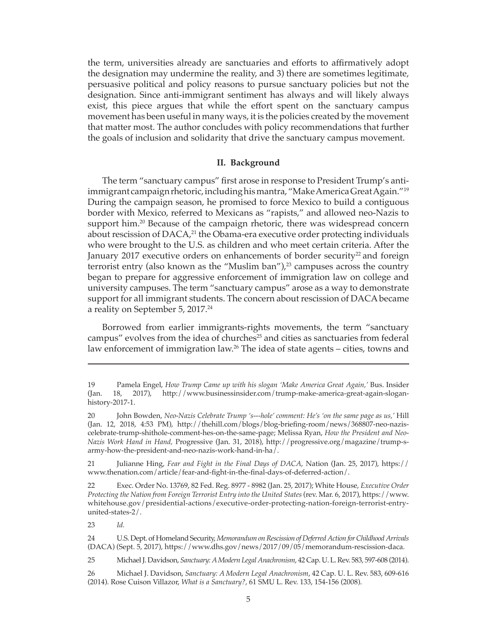the term, universities already are sanctuaries and efforts to affirmatively adopt the designation may undermine the reality, and 3) there are sometimes legitimate, persuasive political and policy reasons to pursue sanctuary policies but not the designation. Since anti-immigrant sentiment has always and will likely always exist, this piece argues that while the effort spent on the sanctuary campus movement has been useful in many ways, it is the policies created by the movement that matter most. The author concludes with policy recommendations that further the goals of inclusion and solidarity that drive the sanctuary campus movement.

#### **II. Background**

The term "sanctuary campus" first arose in response to President Trump's antiimmigrant campaign rhetoric, including his mantra, "Make America Great Again."19 During the campaign season, he promised to force Mexico to build a contiguous border with Mexico, referred to Mexicans as "rapists," and allowed neo-Nazis to support him.<sup>20</sup> Because of the campaign rhetoric, there was widespread concern about rescission of DACA,<sup>21</sup> the Obama-era executive order protecting individuals who were brought to the U.S. as children and who meet certain criteria. After the January 2017 executive orders on enhancements of border security<sup>22</sup> and foreign terrorist entry (also known as the "Muslim ban"), $^{23}$  campuses across the country began to prepare for aggressive enforcement of immigration law on college and university campuses. The term "sanctuary campus" arose as a way to demonstrate support for all immigrant students. The concern about rescission of DACA became a reality on September 5, 2017.<sup>24</sup>

Borrowed from earlier immigrants-rights movements, the term "sanctuary campus" evolves from the idea of churches<sup>25</sup> and cities as sanctuaries from federal law enforcement of immigration law.26 The idea of state agents – cities, towns and

21 Julianne Hing, *Fear and Fight in the Final Days of DACA*, Nation (Jan. 25, 2017), https:// www.thenation.com/article/fear-and-fight-in-the-final-days-of-deferred-action/.

22 Exec. Order No. 13769, 82 Fed. Reg. 8977 - 8982 (Jan. 25, 2017); White House, *Executive Order Protecting the Nation from Foreign Terrorist Entry into the United States* (rev. Mar. 6, 2017), https://www. whitehouse.gov/presidential-actions/executive-order-protecting-nation-foreign-terrorist-entryunited-states-2/.

23 *Id.*

25 Michael J. Davidson, *Sanctuary: A Modern Legal Anachronism*, 42 Cap. U. L. Rev. 583, 597-608 (2014).

26 Michael J. Davidson, *Sanctuary: A Modern Legal Anachronism*, 42 Cap. U. L. Rev. 583, 609-616 (2014). Rose Cuison Villazor, *What is a Sanctuary?*, 61 SMU L. Rev. 133, 154-156 (2008).

<sup>19</sup> Pamela Engel, *How Trump Came up with his slogan 'Make America Great Again,'* Bus. Insider (Jan. 18, 2017), http://www.businessinsider.com/trump-make-america-great-again-sloganhistory-2017-1.

<sup>20</sup> John Bowden, *Neo-Nazis Celebrate Trump 's---hole' comment: He's 'on the same page as us,'* Hill (Jan. 12, 2018, 4:53 PM), http://thehill.com/blogs/blog-briefing-room/news/368807-neo-naziscelebrate-trump-shithole-comment-hes-on-the-same-page; Melissa Ryan, *How the President and Neo-Nazis Work Hand in Hand,* Progressive (Jan. 31, 2018), http://progressive.org/magazine/trump-sarmy-how-the-president-and-neo-nazis-work-hand-in-ha/.

<sup>24</sup> U.S. Dept. of Homeland Security, *Memorandum on Rescission of Deferred Action for Childhood Arrivals*  (DACA) (Sept. 5, 2017), https://www.dhs.gov/news/2017/09/05/memorandum-rescission-daca.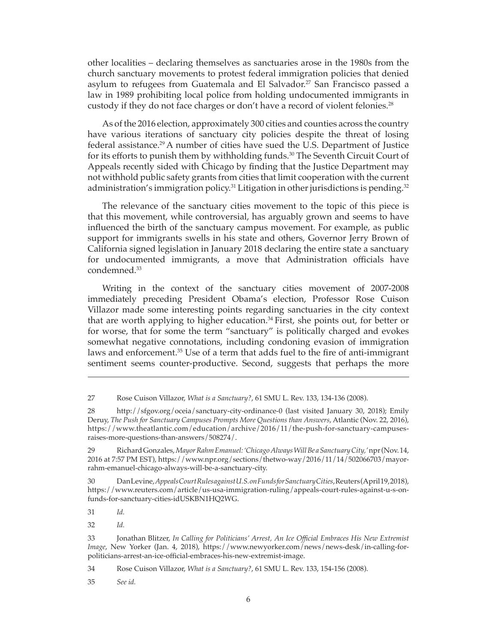other localities – declaring themselves as sanctuaries arose in the 1980s from the church sanctuary movements to protest federal immigration policies that denied asylum to refugees from Guatemala and El Salvador.<sup>27</sup> San Francisco passed a law in 1989 prohibiting local police from holding undocumented immigrants in custody if they do not face charges or don't have a record of violent felonies.<sup>28</sup>

As of the 2016 election, approximately 300 cities and counties across the country have various iterations of sanctuary city policies despite the threat of losing federal assistance.29 A number of cities have sued the U.S. Department of Justice for its efforts to punish them by withholding funds.<sup>30</sup> The Seventh Circuit Court of Appeals recently sided with Chicago by finding that the Justice Department may not withhold public safety grants from cities that limit cooperation with the current administration's immigration policy.<sup>31</sup> Litigation in other jurisdictions is pending.<sup>32</sup>

The relevance of the sanctuary cities movement to the topic of this piece is that this movement, while controversial, has arguably grown and seems to have influenced the birth of the sanctuary campus movement. For example, as public support for immigrants swells in his state and others, Governor Jerry Brown of California signed legislation in January 2018 declaring the entire state a sanctuary for undocumented immigrants, a move that Administration officials have condemned.33

Writing in the context of the sanctuary cities movement of 2007-2008 immediately preceding President Obama's election, Professor Rose Cuison Villazor made some interesting points regarding sanctuaries in the city context that are worth applying to higher education.<sup>34</sup> First, she points out, for better or for worse, that for some the term "sanctuary" is politically charged and evokes somewhat negative connotations, including condoning evasion of immigration laws and enforcement.<sup>35</sup> Use of a term that adds fuel to the fire of anti-immigrant sentiment seems counter-productive. Second, suggests that perhaps the more

27 Rose Cuison Villazor, *What is a Sanctuary?*, 61 SMU L. Rev. 133, 134-136 (2008).

28 http://sfgov.org/oceia/sanctuary-city-ordinance-0 (last visited January 30, 2018); Emily Deruy, *The Push for Sanctuary Campuses Prompts More Questions than Answers*, Atlantic (Nov. 22, 2016), https://www.theatlantic.com/education/archive/2016/11/the-push-for-sanctuary-campusesraises-more-questions-than-answers/508274/.

29 Richard Gonzales, *Mayor Rahm Emanuel: 'Chicago Always Will Be a Sanctuary City,'* npr (Nov. 14, 2016 at 7:57 PM EST), https://www.npr.org/sections/thetwo-way/2016/11/14/502066703/mayorrahm-emanuel-chicago-always-will-be-a-sanctuary-city.

30 Dan Levine, *Appeals Court Rules against U.S. on Funds for Sanctuary Cities*, Reuters (April 19, 2018), https://www.reuters.com/article/us-usa-immigration-ruling/appeals-court-rules-against-u-s-onfunds-for-sanctuary-cities-idUSKBN1HQ2WG.

31 *Id.* 

32 *Id.*

33 Jonathan Blitzer, *In Calling for Politicians' Arrest, An Ice Official Embraces His New Extremist Image*, New Yorker (Jan. 4, 2018), https://www.newyorker.com/news/news-desk/in-calling-forpoliticians-arrest-an-ice-official-embraces-his-new-extremist-image.

34 Rose Cuison Villazor, *What is a Sanctuary?*, 61 SMU L. Rev. 133, 154-156 (2008).

35 *See id.*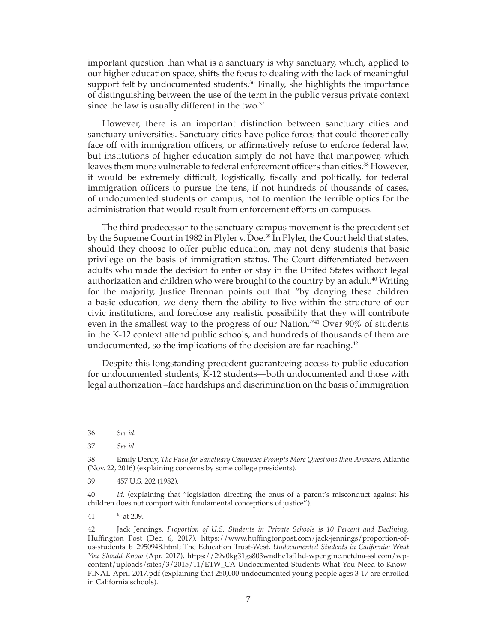important question than what is a sanctuary is why sanctuary, which, applied to our higher education space, shifts the focus to dealing with the lack of meaningful support felt by undocumented students.<sup>36</sup> Finally, she highlights the importance of distinguishing between the use of the term in the public versus private context since the law is usually different in the two.<sup>37</sup>

However, there is an important distinction between sanctuary cities and sanctuary universities. Sanctuary cities have police forces that could theoretically face off with immigration officers, or affirmatively refuse to enforce federal law, but institutions of higher education simply do not have that manpower, which leaves them more vulnerable to federal enforcement officers than cities.<sup>38</sup> However, it would be extremely difficult, logistically, fiscally and politically, for federal immigration officers to pursue the tens, if not hundreds of thousands of cases, of undocumented students on campus, not to mention the terrible optics for the administration that would result from enforcement efforts on campuses.

The third predecessor to the sanctuary campus movement is the precedent set by the Supreme Court in 1982 in Plyler v. Doe.<sup>39</sup> In Plyler, the Court held that states, should they choose to offer public education, may not deny students that basic privilege on the basis of immigration status. The Court differentiated between adults who made the decision to enter or stay in the United States without legal authorization and children who were brought to the country by an adult.<sup>40</sup> Writing for the majority, Justice Brennan points out that "by denying these children a basic education, we deny them the ability to live within the structure of our civic institutions, and foreclose any realistic possibility that they will contribute even in the smallest way to the progress of our Nation."41 Over 90% of students in the K-12 context attend public schools, and hundreds of thousands of them are undocumented, so the implications of the decision are far-reaching.<sup>42</sup>

Despite this longstanding precedent guaranteeing access to public education for undocumented students, K-12 students—both undocumented and those with legal authorization –face hardships and discrimination on the basis of immigration

39 457 U.S. 202 (1982).

40 *Id.* (explaining that "legislation directing the onus of a parent's misconduct against his children does not comport with fundamental conceptions of justice").

41 Id. at 209.

42 Jack Jennings, *Proportion of U.S. Students in Private Schools is 10 Percent and Declining*, Huffington Post (Dec. 6, 2017), https://www.huffingtonpost.com/jack-jennings/proportion-ofus-students\_b\_2950948.html; The Education Trust-West, *Undocumented Students in California: What You Should Know* (Apr. 2017), https://29v0kg31gs803wndhe1sj1hd-wpengine.netdna-ssl.com/wpcontent/uploads/sites/3/2015/11/ETW\_CA-Undocumented-Students-What-You-Need-to-Know-FINAL-April-2017.pdf (explaining that 250,000 undocumented young people ages 3-17 are enrolled in California schools).

<sup>36</sup> *See id.*

<sup>37</sup> *See id.*

<sup>38</sup> Emily Deruy, *The Push for Sanctuary Campuses Prompts More Questions than Answers*, Atlantic (Nov. 22, 2016) (explaining concerns by some college presidents).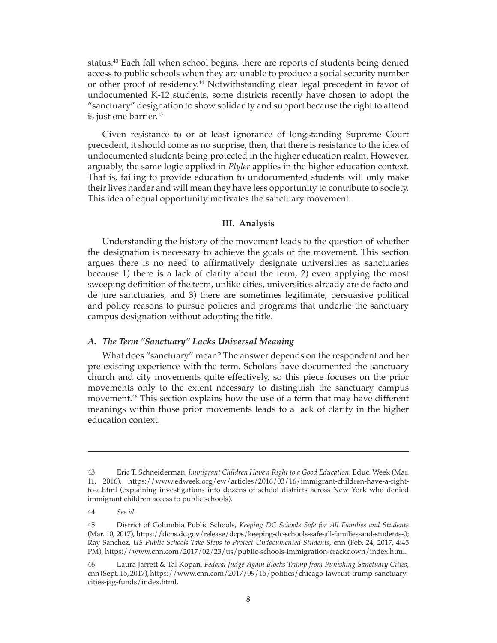status.<sup>43</sup> Each fall when school begins, there are reports of students being denied access to public schools when they are unable to produce a social security number or other proof of residency.<sup>44</sup> Notwithstanding clear legal precedent in favor of undocumented K-12 students, some districts recently have chosen to adopt the "sanctuary" designation to show solidarity and support because the right to attend is just one barrier.<sup>45</sup>

Given resistance to or at least ignorance of longstanding Supreme Court precedent, it should come as no surprise, then, that there is resistance to the idea of undocumented students being protected in the higher education realm. However, arguably, the same logic applied in *Plyler* applies in the higher education context. That is, failing to provide education to undocumented students will only make their lives harder and will mean they have less opportunity to contribute to society. This idea of equal opportunity motivates the sanctuary movement.

#### **III. Analysis**

Understanding the history of the movement leads to the question of whether the designation is necessary to achieve the goals of the movement. This section argues there is no need to affirmatively designate universities as sanctuaries because 1) there is a lack of clarity about the term, 2) even applying the most sweeping definition of the term, unlike cities, universities already are de facto and de jure sanctuaries, and 3) there are sometimes legitimate, persuasive political and policy reasons to pursue policies and programs that underlie the sanctuary campus designation without adopting the title.

#### *A. The Term "Sanctuary" Lacks Universal Meaning*

What does "sanctuary" mean? The answer depends on the respondent and her pre-existing experience with the term. Scholars have documented the sanctuary church and city movements quite effectively, so this piece focuses on the prior movements only to the extent necessary to distinguish the sanctuary campus movement.46 This section explains how the use of a term that may have different meanings within those prior movements leads to a lack of clarity in the higher education context.

<sup>43</sup> Eric T. Schneiderman, *Immigrant Children Have a Right to a Good Education*, Educ. Week (Mar. 11, 2016), https://www.edweek.org/ew/articles/2016/03/16/immigrant-children-have-a-rightto-a.html (explaining investigations into dozens of school districts across New York who denied immigrant children access to public schools).

<sup>44</sup> *See id.*

<sup>45</sup> District of Columbia Public Schools, *Keeping DC Schools Safe for All Families and Students* (Mar. 10, 2017), https://dcps.dc.gov/release/dcps/keeping-dc-schools-safe-all-families-and-students-0; Ray Sanchez, *US Public Schools Take Steps to Protect Undocumented Students*, cnn (Feb. 24, 2017, 4:45 PM), https://www.cnn.com/2017/02/23/us/public-schools-immigration-crackdown/index.html.

<sup>46</sup> Laura Jarrett & Tal Kopan, *Federal Judge Again Blocks Trump from Punishing Sanctuary Cities*, cnn (Sept. 15, 2017), https://www.cnn.com/2017/09/15/politics/chicago-lawsuit-trump-sanctuarycities-jag-funds/index.html.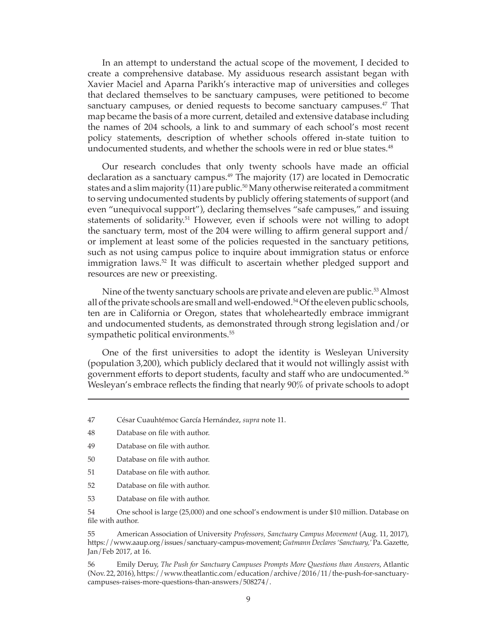In an attempt to understand the actual scope of the movement, I decided to create a comprehensive database. My assiduous research assistant began with Xavier Maciel and Aparna Parikh's interactive map of universities and colleges that declared themselves to be sanctuary campuses, were petitioned to become sanctuary campuses, or denied requests to become sanctuary campuses.<sup>47</sup> That map became the basis of a more current, detailed and extensive database including the names of 204 schools, a link to and summary of each school's most recent policy statements, description of whether schools offered in-state tuition to undocumented students, and whether the schools were in red or blue states.<sup>48</sup>

Our research concludes that only twenty schools have made an official declaration as a sanctuary campus.<sup>49</sup> The majority  $(17)$  are located in Democratic states and a slim majority  $(11)$  are public.<sup>50</sup> Many otherwise reiterated a commitment to serving undocumented students by publicly offering statements of support (and even "unequivocal support"), declaring themselves "safe campuses," and issuing statements of solidarity.<sup>51</sup> However, even if schools were not willing to adopt the sanctuary term, most of the 204 were willing to affirm general support and/ or implement at least some of the policies requested in the sanctuary petitions, such as not using campus police to inquire about immigration status or enforce immigration laws.<sup>52</sup> It was difficult to ascertain whether pledged support and resources are new or preexisting.

Nine of the twenty sanctuary schools are private and eleven are public.<sup>53</sup> Almost all of the private schools are small and well-endowed.<sup>54</sup> Of the eleven public schools, ten are in California or Oregon, states that wholeheartedly embrace immigrant and undocumented students, as demonstrated through strong legislation and/or sympathetic political environments.<sup>55</sup>

One of the first universities to adopt the identity is Wesleyan University (population 3,200), which publicly declared that it would not willingly assist with government efforts to deport students, faculty and staff who are undocumented.<sup>56</sup> Wesleyan's embrace reflects the finding that nearly 90% of private schools to adopt

53 Database on file with author.

54 One school is large (25,000) and one school's endowment is under \$10 million. Database on file with author.

55 American Association of University *Professors, Sanctuary Campus Movement* (Aug. 11, 2017), https://www.aaup.org/issues/sanctuary-campus-movement; *Gutmann Declares 'Sanctuary,'* Pa. Gazette, Jan/Feb 2017, at 16.

56 Emily Deruy, *The Push for Sanctuary Campuses Prompts More Questions than Answers*, Atlantic (Nov. 22, 2016), https://www.theatlantic.com/education/archive/2016/11/the-push-for-sanctuarycampuses-raises-more-questions-than-answers/508274/.

<sup>47</sup> César Cuauhtémoc García Hernández, *supra* note 11.

<sup>48</sup> Database on file with author.

<sup>49</sup> Database on file with author.

<sup>50</sup> Database on file with author.

<sup>51</sup> Database on file with author.

<sup>52</sup> Database on file with author.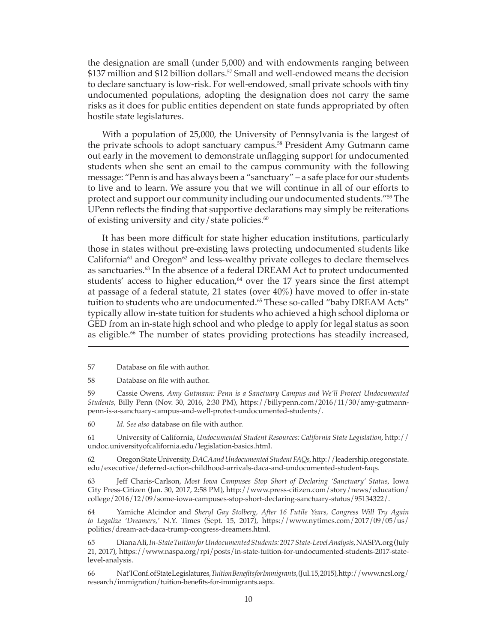the designation are small (under 5,000) and with endowments ranging between \$137 million and \$12 billion dollars.<sup>57</sup> Small and well-endowed means the decision to declare sanctuary is low-risk. For well-endowed, small private schools with tiny undocumented populations, adopting the designation does not carry the same risks as it does for public entities dependent on state funds appropriated by often hostile state legislatures.

With a population of 25,000, the University of Pennsylvania is the largest of the private schools to adopt sanctuary campus.<sup>58</sup> President Amy Gutmann came out early in the movement to demonstrate unflagging support for undocumented students when she sent an email to the campus community with the following message: "Penn is and has always been a "sanctuary" – a safe place for our students to live and to learn. We assure you that we will continue in all of our efforts to protect and support our community including our undocumented students."<sup>59</sup> The UPenn reflects the finding that supportive declarations may simply be reiterations of existing university and city/state policies. $60$ 

It has been more difficult for state higher education institutions, particularly those in states without pre-existing laws protecting undocumented students like California $61$  and Oregon $62$  and less-wealthy private colleges to declare themselves as sanctuaries.<sup>63</sup> In the absence of a federal DREAM Act to protect undocumented students' access to higher education, $64$  over the 17 years since the first attempt at passage of a federal statute, 21 states (over  $40\%$ ) have moved to offer in-state tuition to students who are undocumented.<sup>65</sup> These so-called "baby DREAM Acts" typically allow in-state tuition for students who achieved a high school diploma or GED from an in-state high school and who pledge to apply for legal status as soon as eligible.<sup>66</sup> The number of states providing protections has steadily increased,

57 Database on file with author.

58 Database on file with author.

59 Cassie Owens, *Amy Gutmann: Penn is a Sanctuary Campus and We'll Protect Undocumented Students*, Billy Penn (Nov. 30, 2016, 2:30 PM), https://billypenn.com/2016/11/30/amy-gutmannpenn-is-a-sanctuary-campus-and-well-protect-undocumented-students/.

60 *Id. See also* database on file with author.

61 University of California, *Undocumented Student Resources: California State Legislation*, http:// undoc.universityofcalifornia.edu/legislation-basics.html.

62 Oregon State University, *DACA and Undocumented Student FAQs*, http://leadership.oregonstate. edu/executive/deferred-action-childhood-arrivals-daca-and-undocumented-student-faqs.

63 Jeff Charis-Carlson, *Most Iowa Campuses Stop Short of Declaring 'Sanctuary' Status*, Iowa City Press-Citizen (Jan. 30, 2017, 2:58 PM), http://www.press-citizen.com/story/news/education/ college/2016/12/09/some-iowa-campuses-stop-short-declaring-sanctuary-status/95134322/.

64 Yamiche Alcindor and *Sheryl Gay Stolberg, After 16 Futile Years, Congress Will Try Again to Legalize 'Dreamers,'* N.Y. Times (Sept. 15, 2017), https://www.nytimes.com/2017/09/05/us/ politics/dream-act-daca-trump-congress-dreamers.html.

65 Diana Ali, *In-State Tuition for Undocumented Students: 2017 State-Level Analysis*, NASPA.org (July 21, 2017), https://www.naspa.org/rpi/posts/in-state-tuition-for-undocumented-students-2017-statelevel-analysis.

66 Nat'l Conf. of State Legislatures, *Tuition Benefits for Immigrants*, (Jul. 15, 2015), http://www.ncsl.org/ research/immigration/tuition-benefits-for-immigrants.aspx.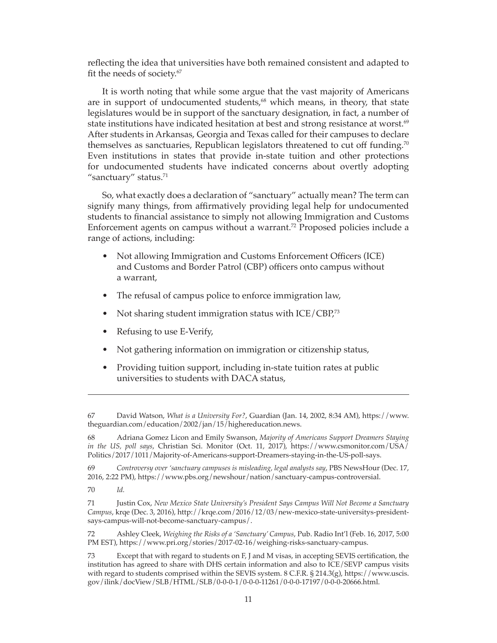reflecting the idea that universities have both remained consistent and adapted to fit the needs of society.<sup>67</sup>

It is worth noting that while some argue that the vast majority of Americans are in support of undocumented students,<sup>68</sup> which means, in theory, that state legislatures would be in support of the sanctuary designation, in fact, a number of state institutions have indicated hesitation at best and strong resistance at worst.<sup>69</sup> After students in Arkansas, Georgia and Texas called for their campuses to declare themselves as sanctuaries, Republican legislators threatened to cut off funding.<sup>70</sup> Even institutions in states that provide in-state tuition and other protections for undocumented students have indicated concerns about overtly adopting "sanctuary" status. $71$ 

So, what exactly does a declaration of "sanctuary" actually mean? The term can signify many things, from affirmatively providing legal help for undocumented students to financial assistance to simply not allowing Immigration and Customs Enforcement agents on campus without a warrant.<sup>72</sup> Proposed policies include a range of actions, including:

- Not allowing Immigration and Customs Enforcement Officers (ICE) and Customs and Border Patrol (CBP) officers onto campus without a warrant,
- The refusal of campus police to enforce immigration law,
- Not sharing student immigration status with ICE/CBP,<sup>73</sup>
- Refusing to use E-Verify,
- Not gathering information on immigration or citizenship status,
- Providing tuition support, including in-state tuition rates at public universities to students with DACA status,

<sup>67</sup> David Watson, *What is a University For?*, Guardian (Jan. 14, 2002, 8:34 AM), https://www. theguardian.com/education/2002/jan/15/highereducation.news.

<sup>68</sup> Adriana Gomez Licon and Emily Swanson, *Majority of Americans Support Dreamers Staying in the US, poll says*, Christian Sci. Monitor (Oct. 11, 2017), https://www.csmonitor.com/USA/ Politics/2017/1011/Majority-of-Americans-support-Dreamers-staying-in-the-US-poll-says.

<sup>69</sup> *Controversy over 'sanctuary campuses is misleading, legal analysts say*, PBS NewsHour (Dec. 17, 2016, 2:22 PM), https://www.pbs.org/newshour/nation/sanctuary-campus-controversial.

<sup>70</sup> *Id.* 

<sup>71</sup> Justin Cox, *New Mexico State University's President Says Campus Will Not Become a Sanctuary Campus*, krqe (Dec. 3, 2016), http://krqe.com/2016/12/03/new-mexico-state-universitys-presidentsays-campus-will-not-become-sanctuary-campus/.

<sup>72</sup> Ashley Cleek, *Weighing the Risks of a 'Sanctuary' Campus*, Pub. Radio Int'l (Feb. 16, 2017, 5:00 PM EST), https://www.pri.org/stories/2017-02-16/weighing-risks-sanctuary-campus.

<sup>73</sup> Except that with regard to students on F, J and M visas, in accepting SEVIS certification, the institution has agreed to share with DHS certain information and also to ICE/SEVP campus visits with regard to students comprised within the SEVIS system. 8 C.F.R. § 214.3(g), https://www.uscis. gov/ilink/docView/SLB/HTML/SLB/0-0-0-1/0-0-0-11261/0-0-0-17197/0-0-0-20666.html.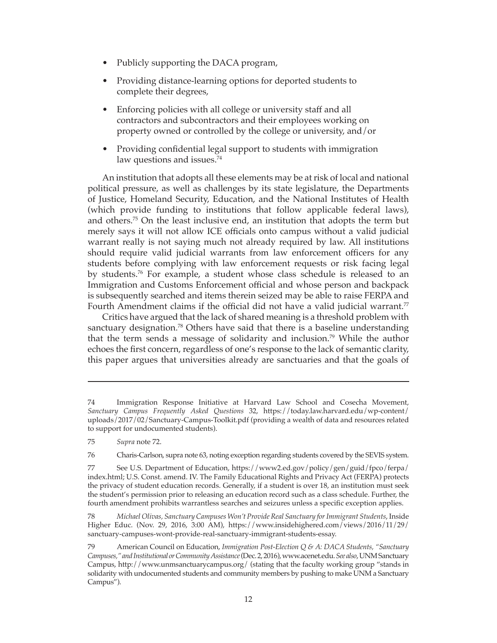- Publicly supporting the DACA program,
- Providing distance-learning options for deported students to complete their degrees,
- Enforcing policies with all college or university staff and all contractors and subcontractors and their employees working on property owned or controlled by the college or university, and/or
- Providing confidential legal support to students with immigration law questions and issues.<sup>74</sup>

An institution that adopts all these elements may be at risk of local and national political pressure, as well as challenges by its state legislature, the Departments of Justice, Homeland Security, Education, and the National Institutes of Health (which provide funding to institutions that follow applicable federal laws), and others.75 On the least inclusive end, an institution that adopts the term but merely says it will not allow ICE officials onto campus without a valid judicial warrant really is not saying much not already required by law. All institutions should require valid judicial warrants from law enforcement officers for any students before complying with law enforcement requests or risk facing legal by students.76 For example, a student whose class schedule is released to an Immigration and Customs Enforcement official and whose person and backpack is subsequently searched and items therein seized may be able to raise FERPA and Fourth Amendment claims if the official did not have a valid judicial warrant.<sup>77</sup>

Critics have argued that the lack of shared meaning is a threshold problem with sanctuary designation.<sup>78</sup> Others have said that there is a baseline understanding that the term sends a message of solidarity and inclusion.<sup>79</sup> While the author echoes the first concern, regardless of one's response to the lack of semantic clarity, this paper argues that universities already are sanctuaries and that the goals of

<sup>74</sup> Immigration Response Initiative at Harvard Law School and Cosecha Movement, *Sanctuary Campus Frequently Asked Questions* 32, https://today.law.harvard.edu/wp-content/ uploads/2017/02/Sanctuary-Campus-Toolkit.pdf (providing a wealth of data and resources related to support for undocumented students).

<sup>75</sup> *Supra* note 72.

<sup>76</sup> Charis-Carlson, supra note 63, noting exception regarding students covered by the SEVIS system.

<sup>77</sup> See U.S. Department of Education, https://www2.ed.gov/policy/gen/guid/fpco/ferpa/ index.html; U.S. Const. amend. IV. The Family Educational Rights and Privacy Act (FERPA) protects the privacy of student education records. Generally, if a student is over 18, an institution must seek the student's permission prior to releasing an education record such as a class schedule. Further, the fourth amendment prohibits warrantless searches and seizures unless a specific exception applies.

<sup>78</sup> *Michael Olivas, Sanctuary Campuses Won't Provide Real Sanctuary for Immigrant Students*, Inside Higher Educ. (Nov. 29, 2016, 3:00 AM), https://www.insidehighered.com/views/2016/11/29/ sanctuary-campuses-wont-provide-real-sanctuary-immigrant-students-essay.

<sup>79</sup> American Council on Education, *Immigration Post-Election Q & A: DACA Students, "Sanctuary Campuses," and Institutional or Community Assistance* (Dec. 2, 2016), www.acenet.edu. *See also*, UNM Sanctuary Campus, http://www.unmsanctuarycampus.org/ (stating that the faculty working group "stands in solidarity with undocumented students and community members by pushing to make UNM a Sanctuary Campus").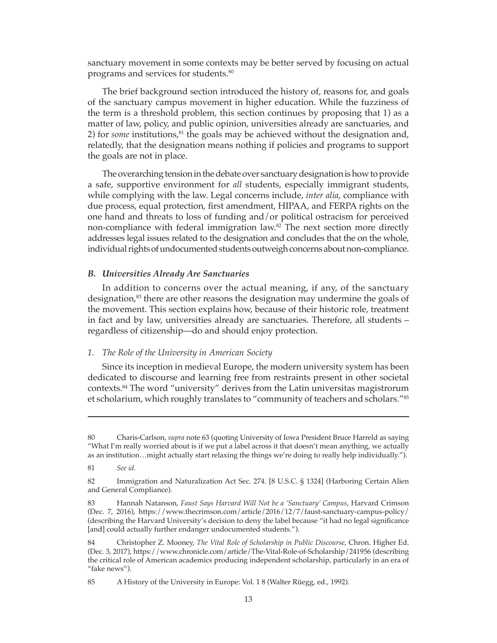sanctuary movement in some contexts may be better served by focusing on actual programs and services for students.80

The brief background section introduced the history of, reasons for, and goals of the sanctuary campus movement in higher education. While the fuzziness of the term is a threshold problem, this section continues by proposing that 1) as a matter of law, policy, and public opinion, universities already are sanctuaries, and 2) for *some* institutions,<sup>81</sup> the goals may be achieved without the designation and, relatedly, that the designation means nothing if policies and programs to support the goals are not in place.

The overarching tension in the debate over sanctuary designation is how to provide a safe, supportive environment for *all* students, especially immigrant students, while complying with the law. Legal concerns include, *inter alia*, compliance with due process, equal protection, first amendment, HIPAA, and FERPA rights on the one hand and threats to loss of funding and/or political ostracism for perceived non-compliance with federal immigration law.<sup>82</sup> The next section more directly addresses legal issues related to the designation and concludes that the on the whole, individual rights of undocumented students outweigh concerns about non-compliance.

#### *B. Universities Already Are Sanctuaries*

In addition to concerns over the actual meaning, if any, of the sanctuary designation,<sup>83</sup> there are other reasons the designation may undermine the goals of the movement. This section explains how, because of their historic role, treatment in fact and by law, universities already are sanctuaries. Therefore, all students – regardless of citizenship—do and should enjoy protection.

## *1. The Role of the University in American Society*

Since its inception in medieval Europe, the modern university system has been dedicated to discourse and learning free from restraints present in other societal contexts.84 The word "university" derives from the Latin universitas magistrorum et scholarium, which roughly translates to "community of teachers and scholars."85

<sup>80</sup> Charis-Carlson, *supra* note 63 (quoting University of Iowa President Bruce Harreld as saying "What I'm really worried about is if we put a label across it that doesn't mean anything, we actually as an institution…might actually start relaxing the things we're doing to really help individually.").

<sup>81</sup> *See id.*

<sup>82</sup> Immigration and Naturalization Act Sec. 274. [8 U.S.C. § 1324] (Harboring Certain Alien and General Compliance).

<sup>83</sup> Hannah Natanson, *Faust Says Harvard Will Not be a 'Sanctuary' Campus*, Harvard Crimson (Dec. 7, 2016), https://www.thecrimson.com/article/2016/12/7/faust-sanctuary-campus-policy/ (describing the Harvard University's decision to deny the label because "it had no legal significance [and] could actually further endanger undocumented students.").

<sup>84</sup> Christopher Z. Mooney, *The Vital Role of Scholarship in Public Discourse*, Chron. Higher Ed. (Dec. 3, 2017), https://www.chronicle.com/article/The-Vital-Role-of-Scholarship/241956 (describing the critical role of American academics producing independent scholarship, particularly in an era of "fake news").

<sup>85</sup> A History of the University in Europe: Vol. 1 8 (Walter Rüegg, ed., 1992).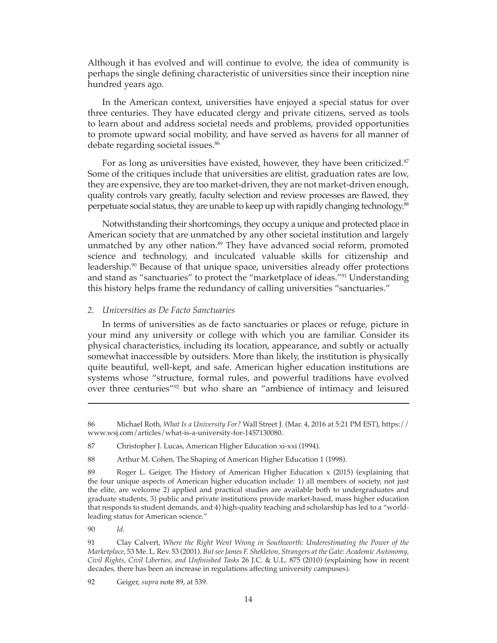Although it has evolved and will continue to evolve, the idea of community is perhaps the single defining characteristic of universities since their inception nine hundred years ago.

In the American context, universities have enjoyed a special status for over three centuries. They have educated clergy and private citizens, served as tools to learn about and address societal needs and problems, provided opportunities to promote upward social mobility, and have served as havens for all manner of debate regarding societal issues.<sup>86</sup>

For as long as universities have existed, however, they have been criticized.<sup>87</sup> Some of the critiques include that universities are elitist, graduation rates are low, they are expensive, they are too market-driven, they are not market-driven enough, quality controls vary greatly, faculty selection and review processes are flawed, they perpetuate social status, they are unable to keep up with rapidly changing technology.<sup>88</sup>

Notwithstanding their shortcomings, they occupy a unique and protected place in American society that are unmatched by any other societal institution and largely unmatched by any other nation.<sup>89</sup> They have advanced social reform, promoted science and technology, and inculcated valuable skills for citizenship and leadership.<sup>90</sup> Because of that unique space, universities already offer protections and stand as "sanctuaries" to protect the "marketplace of ideas."91 Understanding this history helps frame the redundancy of calling universities "sanctuaries."

#### *2. Universities as De Facto Sanctuaries*

In terms of universities as de facto sanctuaries or places or refuge, picture in your mind any university or college with which you are familiar. Consider its physical characteristics, including its location, appearance, and subtly or actually somewhat inaccessible by outsiders. More than likely, the institution is physically quite beautiful, well-kept, and safe. American higher education institutions are systems whose "structure, formal rules, and powerful traditions have evolved over three centuries"92 but who share an "ambience of intimacy and leisured

90 *Id.*

<sup>86</sup> Michael Roth, *What Is a University For?* Wall Street J. (Mar. 4, 2016 at 5:21 PM EST), https:// www.wsj.com/articles/what-is-a-university-for-1457130080.

<sup>87</sup> Christopher J. Lucas, American Higher Education xi-xxi (1994).

<sup>88</sup> Arthur M. Cohen, The Shaping of American Higher Education 1 (1998).

<sup>89</sup> Roger L. Geiger, The History of American Higher Education x (2015) (explaining that the four unique aspects of American higher education include: 1) all members of society, not just the elite, are welcome 2) applied and practical studies are available both to undergraduates and graduate students, 3) public and private institutions provide market-based, mass higher education that responds to student demands, and 4) high-quality teaching and scholarship has led to a "worldleading status for American science."

<sup>91</sup> Clay Calvert, *Where the Right Went Wrong in Southworth: Underestimating the Power of the Marketplace*, 53 Me. L. Rev. 53 (2001). *But see James F. Shekleton, Strangers at the Gate: Academic Autonomy, Civil Rights, Civil Liberties, and Unfinished Tasks* 26 J.C. & U.L. 875 (2010) (explaining how in recent decades, there has been an increase in regulations affecting university campuses).

<sup>92</sup> Geiger, *supra* note 89, at 539.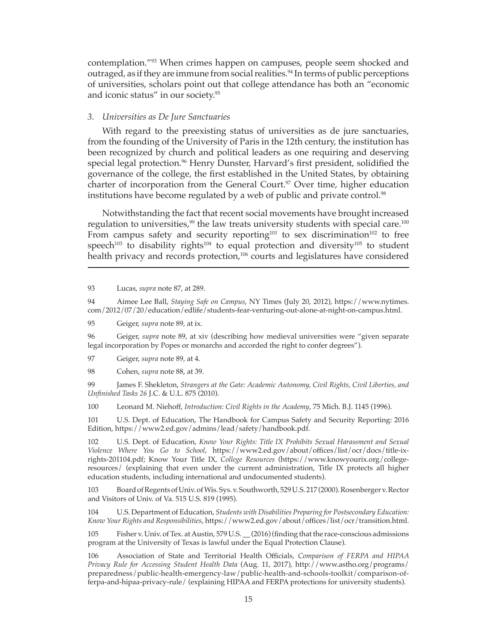contemplation."93 When crimes happen on campuses, people seem shocked and outraged, as if they are immune from social realities.<sup>94</sup> In terms of public perceptions of universities, scholars point out that college attendance has both an "economic and iconic status" in our society.95

#### *3. Universities as De Jure Sanctuaries*

With regard to the preexisting status of universities as de jure sanctuaries, from the founding of the University of Paris in the 12th century, the institution has been recognized by church and political leaders as one requiring and deserving special legal protection.<sup>96</sup> Henry Dunster, Harvard's first president, solidified the governance of the college, the first established in the United States, by obtaining charter of incorporation from the General Court.<sup>97</sup> Over time, higher education institutions have become regulated by a web of public and private control.<sup>98</sup>

Notwithstanding the fact that recent social movements have brought increased regulation to universities,<sup>99</sup> the law treats university students with special care.<sup>100</sup> From campus safety and security reporting<sup>101</sup> to sex discrimination<sup>102</sup> to free speech<sup>103</sup> to disability rights<sup>104</sup> to equal protection and diversity<sup>105</sup> to student health privacy and records protection,<sup>106</sup> courts and legislatures have considered

93 Lucas, *supra* note 87, at 289.

94 Aimee Lee Ball, *Staying Safe on Campus*, NY Times (July 20, 2012), https://www.nytimes. com/2012/07/20/education/edlife/students-fear-venturing-out-alone-at-night-on-campus.html.

95 Geiger, *supra* note 89, at ix.

96 Geiger, *supra* note 89, at xiv (describing how medieval universities were "given separate legal incorporation by Popes or monarchs and accorded the right to confer degrees").

97 Geiger, *supra* note 89, at 4.

98 Cohen, *supra* note 88, at 39.

99 James F. Shekleton, *Strangers at the Gate: Academic Autonomy, Civil Rights, Civil Liberties, and Unfinished Tasks 26* J.C. & U.L. 875 (2010).

100 Leonard M. Niehoff, *Introduction: Civil Rights in the Academy*, 75 Mich. B.J. 1145 (1996).

101 U.S. Dept. of Education, The Handbook for Campus Safety and Security Reporting: 2016 Edition, https://www2.ed.gov/admins/lead/safety/handbook.pdf.

102 U.S. Dept. of Education, *Know Your Rights: Title IX Prohibits Sexual Harassment and Sexual Violence Where You Go to School*, https://www2.ed.gov/about/offices/list/ocr/docs/title-ixrights-201104.pdf; Know Your Title IX, *College Resources* (https://www.knowyourix.org/collegeresources/ (explaining that even under the current administration, Title IX protects all higher education students, including international and undocumented students).

103 Board of Regents of Univ. of Wis. Sys. v. Southworth, 529 U.S. 217 (2000). Rosenbergerv.Rector and Visitors of Univ. of Va. 515 U.S. 819 (1995).

104 U.S. Department of Education, *Students with Disabilities Preparing for Postsecondary Education: Know Your Rights and Responsibilities*, https://www2.ed.gov/about/offices/list/ocr/transition.html.

105 Fisher v. Univ. of Tex. at Austin, 579 U.S. \_\_ (2016) (finding that the race-conscious admissions program at the University of Texas is lawful under the Equal Protection Clause).

106 Association of State and Territorial Health Officials, *Comparison of FERPA and HIPAA Privacy Rule for Accessing Student Health Data* (Aug. 11, 2017), http://www.astho.org/programs/ preparedness/public-health-emergency-law/public-health-and-schools-toolkit/comparison-offerpa-and-hipaa-privacy-rule/ (explaining HIPAA and FERPA protections for university students).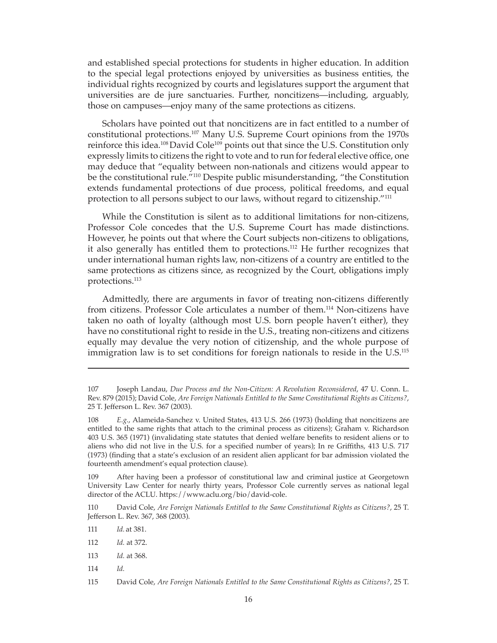and established special protections for students in higher education. In addition to the special legal protections enjoyed by universities as business entities, the individual rights recognized by courts and legislatures support the argument that universities are de jure sanctuaries. Further, noncitizens—including, arguably, those on campuses—enjoy many of the same protections as citizens.

Scholars have pointed out that noncitizens are in fact entitled to a number of constitutional protections.107 Many U.S. Supreme Court opinions from the 1970s reinforce this idea.<sup>108</sup> David Cole<sup>109</sup> points out that since the U.S. Constitution only expressly limits to citizens the right to vote and to run for federal elective office, one may deduce that "equality between non-nationals and citizens would appear to be the constitutional rule.<sup>"110</sup> Despite public misunderstanding, "the Constitution extends fundamental protections of due process, political freedoms, and equal protection to all persons subject to our laws, without regard to citizenship."<sup>111</sup>

While the Constitution is silent as to additional limitations for non-citizens, Professor Cole concedes that the U.S. Supreme Court has made distinctions. However, he points out that where the Court subjects non-citizens to obligations, it also generally has entitled them to protections.112 He further recognizes that under international human rights law, non-citizens of a country are entitled to the same protections as citizens since, as recognized by the Court, obligations imply protections.113

Admittedly, there are arguments in favor of treating non-citizens differently from citizens. Professor Cole articulates a number of them.114 Non-citizens have taken no oath of loyalty (although most U.S. born people haven't either), they have no constitutional right to reside in the U.S., treating non-citizens and citizens equally may devalue the very notion of citizenship, and the whole purpose of immigration law is to set conditions for foreign nationals to reside in the U.S.<sup>115</sup>

109 After having been a professor of constitutional law and criminal justice at Georgetown University Law Center for nearly thirty years, Professor Cole currently serves as national legal director of the ACLU. https://www.aclu.org/bio/david-cole.

110 David Cole, *Are Foreign Nationals Entitled to the Same Constitutional Rights as Citizens?*, 25 T. Jefferson L. Rev. 367, 368 (2003).

111 *Id.* at 381.

114 *Id.*

<sup>107</sup> Joseph Landau, *Due Process and the Non-Citizen: A Revolution Reconsidered*, 47 U. Conn. L. Rev. 879 (2015); David Cole, *Are Foreign Nationals Entitled to the Same Constitutional Rights as Citizens?*, 25 T. Jefferson L. Rev. 367 (2003).

<sup>108</sup> *E.g.*, Alameida-Sanchez v. United States, 413 U.S. 266 (1973) (holding that noncitizens are entitled to the same rights that attach to the criminal process as citizens); Graham v. Richardson 403 U.S. 365 (1971) (invalidating state statutes that denied welfare benefits to resident aliens or to aliens who did not live in the U.S. for a specified number of years); In re Griffiths, 413 U.S. 717 (1973) (finding that a state's exclusion of an resident alien applicant for bar admission violated the fourteenth amendment's equal protection clause).

<sup>112</sup> *Id.* at 372.

<sup>113</sup> *Id.* at 368.

<sup>115</sup> David Cole, *Are Foreign Nationals Entitled to the Same Constitutional Rights as Citizens?*, 25 T.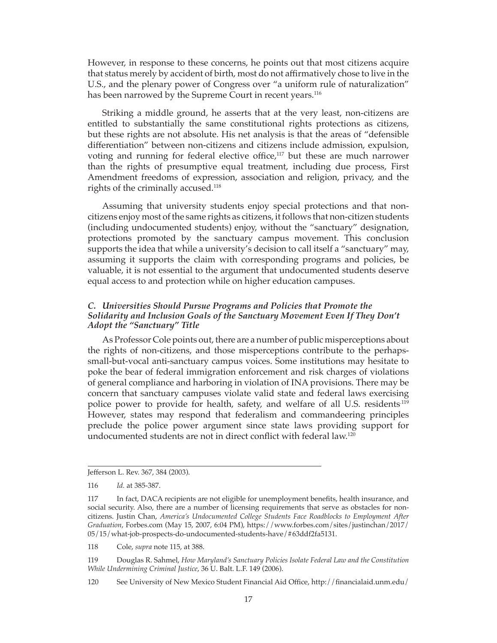However, in response to these concerns, he points out that most citizens acquire that status merely by accident of birth, most do not affirmatively chose to live in the U.S., and the plenary power of Congress over "a uniform rule of naturalization" has been narrowed by the Supreme Court in recent years.<sup>116</sup>

Striking a middle ground, he asserts that at the very least, non-citizens are entitled to substantially the same constitutional rights protections as citizens, but these rights are not absolute. His net analysis is that the areas of "defensible differentiation" between non-citizens and citizens include admission, expulsion, voting and running for federal elective office,<sup>117</sup> but these are much narrower than the rights of presumptive equal treatment, including due process, First Amendment freedoms of expression, association and religion, privacy, and the rights of the criminally accused.118

Assuming that university students enjoy special protections and that noncitizens enjoy most of the same rights as citizens, it follows that non-citizen students (including undocumented students) enjoy, without the "sanctuary" designation, protections promoted by the sanctuary campus movement. This conclusion supports the idea that while a university's decision to call itself a "sanctuary" may, assuming it supports the claim with corresponding programs and policies, be valuable, it is not essential to the argument that undocumented students deserve equal access to and protection while on higher education campuses.

### *C. Universities Should Pursue Programs and Policies that Promote the Solidarity and Inclusion Goals of the Sanctuary Movement Even If They Don't Adopt the "Sanctuary" Title*

As Professor Cole points out, there are a number of public misperceptions about the rights of non-citizens, and those misperceptions contribute to the perhapssmall-but-vocal anti-sanctuary campus voices. Some institutions may hesitate to poke the bear of federal immigration enforcement and risk charges of violations of general compliance and harboring in violation of INA provisions. There may be concern that sanctuary campuses violate valid state and federal laws exercising police power to provide for health, safety, and welfare of all U.S. residents<sup>.119</sup> However, states may respond that federalism and commandeering principles preclude the police power argument since state laws providing support for undocumented students are not in direct conflict with federal law.<sup>120</sup>

118 Cole, *supra* note 115, at 388.

119 Douglas R. Sahmel, *How Maryland's Sanctuary Policies Isolate Federal Law and the Constitution While Undermining Criminal Justice*, 36 U. Balt. L.F. 149 (2006).

Jefferson L. Rev. 367, 384 (2003).

<sup>116</sup> *Id.* at 385-387.

<sup>117</sup> In fact, DACA recipients are not eligible for unemployment benefits, health insurance, and social security. Also, there are a number of licensing requirements that serve as obstacles for noncitizens. Justin Chan, *America's Undocumented College Students Face Roadblocks to Employment After Graduation*, Forbes.com (May 15, 2007, 6:04 PM), https://www.forbes.com/sites/justinchan/2017/ 05/15/what-job-prospects-do-undocumented-students-have/#63ddf2fa5131.

<sup>120</sup> See University of New Mexico Student Financial Aid Office, http://financialaid.unm.edu/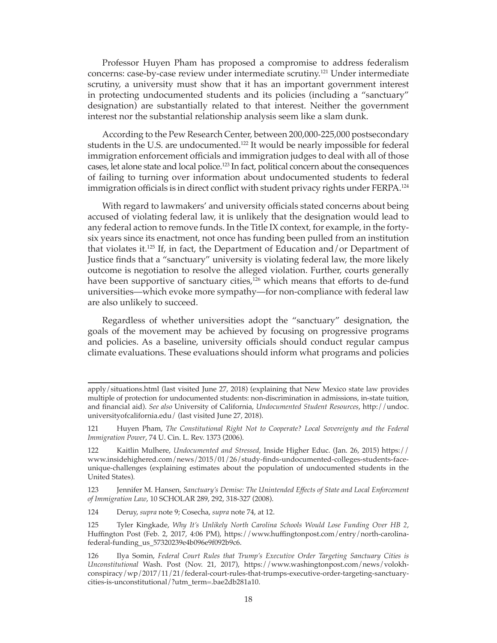Professor Huyen Pham has proposed a compromise to address federalism concerns: case-by-case review under intermediate scrutiny.121 Under intermediate scrutiny, a university must show that it has an important government interest in protecting undocumented students and its policies (including a "sanctuary" designation) are substantially related to that interest. Neither the government interest nor the substantial relationship analysis seem like a slam dunk.

According to the Pew Research Center, between 200,000-225,000 postsecondary students in the U.S. are undocumented.122 It would be nearly impossible for federal immigration enforcement officials and immigration judges to deal with all of those cases, let alone state and local police.123 In fact, political concern about the consequences of failing to turning over information about undocumented students to federal immigration officials is in direct conflict with student privacy rights under FERPA.<sup>124</sup>

With regard to lawmakers' and university officials stated concerns about being accused of violating federal law, it is unlikely that the designation would lead to any federal action to remove funds. In the Title IX context, for example, in the fortysix years since its enactment, not once has funding been pulled from an institution that violates it.<sup>125</sup> If, in fact, the Department of Education and/or Department of Justice finds that a "sanctuary" university is violating federal law, the more likely outcome is negotiation to resolve the alleged violation. Further, courts generally have been supportive of sanctuary cities,<sup>126</sup> which means that efforts to de-fund universities—which evoke more sympathy—for non-compliance with federal law are also unlikely to succeed.

Regardless of whether universities adopt the "sanctuary" designation, the goals of the movement may be achieved by focusing on progressive programs and policies. As a baseline, university officials should conduct regular campus climate evaluations. These evaluations should inform what programs and policies

124 Deruy, *supra* note 9; Cosecha, *supra* note 74, at 12.

apply/situations.html (last visited June 27, 2018) (explaining that New Mexico state law provides multiple of protection for undocumented students: non-discrimination in admissions, in-state tuition, and financial aid). *See also* University of California, *Undocumented Student Resources*, http://undoc. universityofcalifornia.edu/ (last visited June 27, 2018).

<sup>121</sup> Huyen Pham, *The Constitutional Right Not to Cooperate? Local Sovereignty and the Federal Immigration Power*, 74 U. Cin. L. Rev. 1373 (2006).

<sup>122</sup> Kaitlin Mulhere, *Undocumented and Stressed*, Inside Higher Educ. (Jan. 26, 2015) https:// www.insidehighered.com/news/2015/01/26/study-finds-undocumented-colleges-students-faceunique-challenges (explaining estimates about the population of undocumented students in the United States).

<sup>123</sup> Jennifer M. Hansen, *Sanctuary's Demise: The Unintended Effects of State and Local Enforcement of Immigration Law*, 10 SCHOLAR 289, 292, 318-327 (2008).

<sup>125</sup> Tyler Kingkade, *Why It's Unlikely North Carolina Schools Would Lose Funding Over HB 2*, Huffington Post (Feb. 2, 2017, 4:06 PM), https://www.huffingtonpost.com/entry/north-carolinafederal-funding\_us\_57320239e4b096e9f092b9c6.

<sup>126</sup> Ilya Somin, *Federal Court Rules that Trump's Executive Order Targeting Sanctuary Cities is Unconstitutional* Wash. Post (Nov. 21, 2017), https://www.washingtonpost.com/news/volokhconspiracy/wp/2017/11/21/federal-court-rules-that-trumps-executive-order-targeting-sanctuarycities-is-unconstitutional/?utm\_term=.bae2db281a10.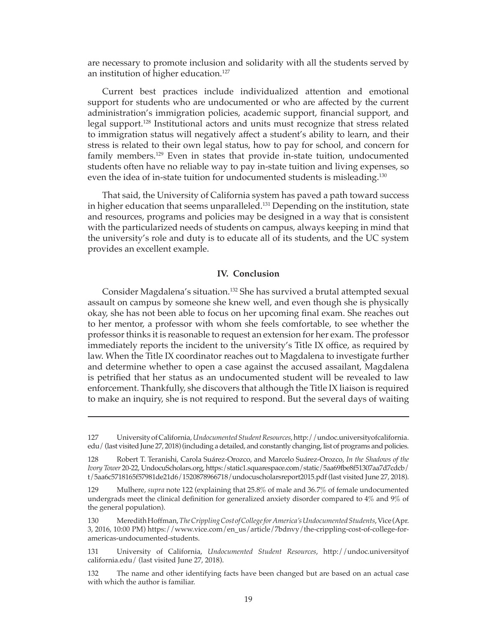are necessary to promote inclusion and solidarity with all the students served by an institution of higher education.<sup>127</sup>

Current best practices include individualized attention and emotional support for students who are undocumented or who are affected by the current administration's immigration policies, academic support, financial support, and legal support.<sup>128</sup> Institutional actors and units must recognize that stress related to immigration status will negatively affect a student's ability to learn, and their stress is related to their own legal status, how to pay for school, and concern for family members.<sup>129</sup> Even in states that provide in-state tuition, undocumented students often have no reliable way to pay in-state tuition and living expenses, so even the idea of in-state tuition for undocumented students is misleading.<sup>130</sup>

That said, the University of California system has paved a path toward success in higher education that seems unparalleled.<sup>131</sup> Depending on the institution, state and resources, programs and policies may be designed in a way that is consistent with the particularized needs of students on campus, always keeping in mind that the university's role and duty is to educate all of its students, and the UC system provides an excellent example.

## **IV. Conclusion**

Consider Magdalena's situation.132 She has survived a brutal attempted sexual assault on campus by someone she knew well, and even though she is physically okay, she has not been able to focus on her upcoming final exam. She reaches out to her mentor, a professor with whom she feels comfortable, to see whether the professor thinks it is reasonable to request an extension for her exam. The professor immediately reports the incident to the university's Title IX office, as required by law. When the Title IX coordinator reaches out to Magdalena to investigate further and determine whether to open a case against the accused assailant, Magdalena is petrified that her status as an undocumented student will be revealed to law enforcement. Thankfully, she discovers that although the Title IX liaison is required to make an inquiry, she is not required to respond. But the several days of waiting

<sup>127</sup> University of California, *Undocumented Student Resources*, http://undoc.universityofcalifornia. edu/ (last visited June 27, 2018) (including a detailed, and constantly changing, list of programs and policies.

<sup>128</sup> Robert T. Teranishi, Carola Suárez-Orozco, and Marcelo Suárez-Orozco, *In the Shadows of the Ivory Tower* 20-22, UndocuScholars.org, https:/static1.squarespace.com/static/5aa69fbe8f51307aa7d7cdcb/ t/5aa6c5718165f57981de21d6/1520878966718/undocuscholarsreport2015.pdf (last visited June 27, 2018).

<sup>129</sup> Mulhere, *supra* note 122 (explaining that 25.8% of male and 36.7% of female undocumented undergrads meet the clinical definition for generalized anxiety disorder compared to 4% and 9% of the general population).

<sup>130</sup> Meredith Hoffman, *The Crippling Cost of College for America's Undocumented Students*, Vice (Apr. 3, 2016, 10:00 PM) https://www.vice.com/en\_us/article/7bdnvy/the-crippling-cost-of-college-foramericas-undocumented-students.

<sup>131</sup> University of California, *Undocumented Student Resources*, http://undoc.universityof california.edu/ (last visited June 27, 2018).

<sup>132</sup> The name and other identifying facts have been changed but are based on an actual case with which the author is familiar.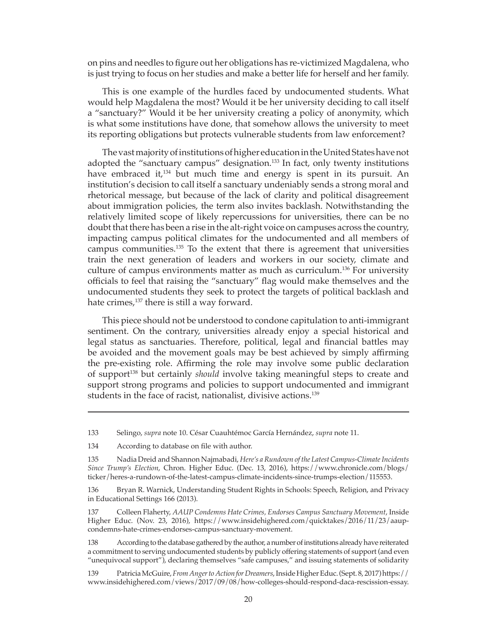on pins and needles to figure out her obligations has re-victimized Magdalena, who is just trying to focus on her studies and make a better life for herself and her family.

This is one example of the hurdles faced by undocumented students. What would help Magdalena the most? Would it be her university deciding to call itself a "sanctuary?" Would it be her university creating a policy of anonymity, which is what some institutions have done, that somehow allows the university to meet its reporting obligations but protects vulnerable students from law enforcement?

The vast majority of institutions of higher education in the United States have not adopted the "sanctuary campus" designation.<sup>133</sup> In fact, only twenty institutions have embraced it,<sup>134</sup> but much time and energy is spent in its pursuit. An institution's decision to call itself a sanctuary undeniably sends a strong moral and rhetorical message, but because of the lack of clarity and political disagreement about immigration policies, the term also invites backlash. Notwithstanding the relatively limited scope of likely repercussions for universities, there can be no doubt that there has been a rise in the alt-right voice on campuses across the country, impacting campus political climates for the undocumented and all members of campus communities.135 To the extent that there is agreement that universities train the next generation of leaders and workers in our society, climate and culture of campus environments matter as much as curriculum.136 For university officials to feel that raising the "sanctuary" flag would make themselves and the undocumented students they seek to protect the targets of political backlash and hate crimes,<sup>137</sup> there is still a way forward.

This piece should not be understood to condone capitulation to anti-immigrant sentiment. On the contrary, universities already enjoy a special historical and legal status as sanctuaries. Therefore, political, legal and financial battles may be avoided and the movement goals may be best achieved by simply affirming the pre-existing role. Affirming the role may involve some public declaration of support138 but certainly *should* involve taking meaningful steps to create and support strong programs and policies to support undocumented and immigrant students in the face of racist, nationalist, divisive actions.<sup>139</sup>

<sup>133</sup> Selingo, *supra* note 10. César Cuauhtémoc García Hernández, *supra* note 11.

<sup>134</sup> According to database on file with author.

<sup>135</sup> Nadia Dreid and Shannon Najmabadi, *Here's a Rundown of the Latest Campus-Climate Incidents Since Trump's Election*, Chron. Higher Educ. (Dec. 13, 2016), https://www.chronicle.com/blogs/ ticker/heres-a-rundown-of-the-latest-campus-climate-incidents-since-trumps-election/115553.

<sup>136</sup> Bryan R. Warnick, Understanding Student Rights in Schools: Speech, Religion, and Privacy in Educational Settings 166 (2013).

<sup>137</sup> Colleen Flaherty, *AAUP Condemns Hate Crimes, Endorses Campus Sanctuary Movement*, Inside Higher Educ. (Nov. 23, 2016), https://www.insidehighered.com/quicktakes/2016/11/23/aaupcondemns-hate-crimes-endorses-campus-sanctuary-movement.

<sup>138</sup> According to the database gathered by the author, a number of institutions already have reiterated a commitment to serving undocumented students by publicly offering statements of support (and even "unequivocal support"), declaring themselves "safe campuses," and issuing statements of solidarity

<sup>139</sup> Patricia McGuire, *From Anger to Action for Dreamers*, Inside Higher Educ. (Sept. 8, 2017) https:// www.insidehighered.com/views/2017/09/08/how-colleges-should-respond-daca-rescission-essay.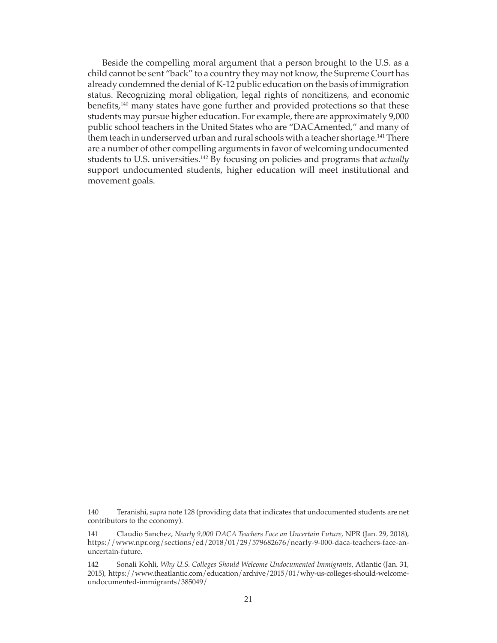Beside the compelling moral argument that a person brought to the U.S. as a child cannot be sent "back" to a country they may not know, the Supreme Court has already condemned the denial of K-12 public education on the basis of immigration status. Recognizing moral obligation, legal rights of noncitizens, and economic benefits,140 many states have gone further and provided protections so that these students may pursue higher education. For example, there are approximately 9,000 public school teachers in the United States who are "DACAmented," and many of them teach in underserved urban and rural schools with a teacher shortage.<sup>141</sup> There are a number of other compelling arguments in favor of welcoming undocumented students to U.S. universities.<sup>142</sup> By focusing on policies and programs that *actually* support undocumented students, higher education will meet institutional and movement goals.

<sup>140</sup> Teranishi, *supra* note 128 (providing data that indicates that undocumented students are net contributors to the economy).

<sup>141</sup> Claudio Sanchez, *Nearly 9,000 DACA Teachers Face an Uncertain Future*, NPR (Jan. 29, 2018), https://www.npr.org/sections/ed/2018/01/29/579682676/nearly-9-000-daca-teachers-face-anuncertain-future.

<sup>142</sup> Sonali Kohli, *Why U.S. Colleges Should Welcome Undocumented Immigrants*, Atlantic (Jan. 31, 2015), https://www.theatlantic.com/education/archive/2015/01/why-us-colleges-should-welcomeundocumented-immigrants/385049/